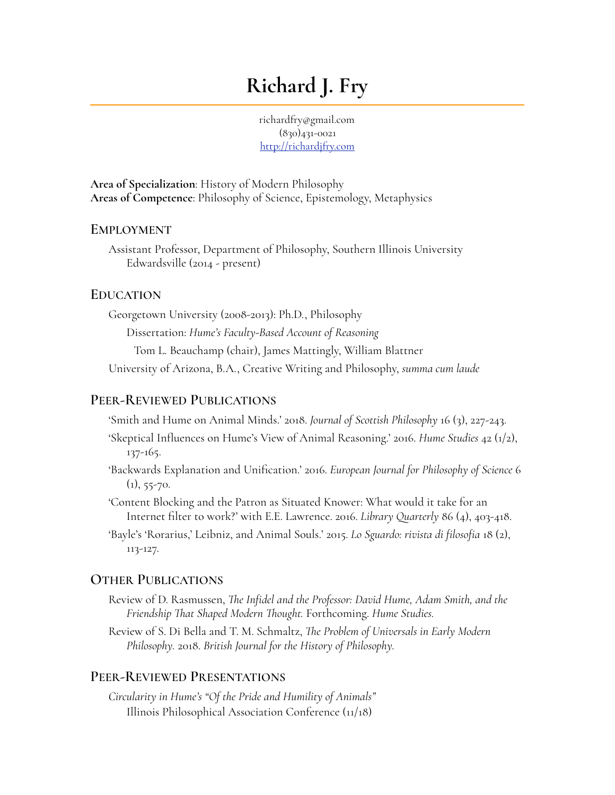# **Richard J. Fry**

richardfry@gmail.com (830)431-0021 <http://richardjfry.com>

**Area of Specialization**: History of Modern Philosophy **Areas of Competence**: Philosophy of Science, Epistemology, Metaphysics

#### **EMPLOYMENT**

Assistant Professor, Department of Philosophy, Southern Illinois University Edwardsville (2014 - present)

#### **EDUCATION**

Georgetown University (2008-2013): Ph.D., Philosophy Dissertation: *Hume's Faculty-Based Account of Reasoning*  Tom L. Beauchamp (chair), James Mattingly, William Blattner University of Arizona, B.A., Creative Writing and Philosophy, *summa cum laude* 

#### **PEER-REVIEWED PUBLICATIONS**

'Smith and Hume on Animal Minds.' 2018. *Journal of Scottish Philosophy* 16 (3), 227-243.

- 'Skeptical Influences on Hume's View of Animal Reasoning.' 2016. *Hume Studies* 42 (1/2), 137-165.
- 'Backwards Explanation and Unification.' 2016. *European Journal for Philosophy of Science* 6  $(1), 55-70.$
- 'Content Blocking and the Patron as Situated Knower: What would it take for an Internet filter to work?' with E.E. Lawrence. 2016. *Library Quarterly* 86 (4), 403-418.
- 'Bayle's 'Rorarius,' Leibniz, and Animal Souls.' 2015. *Lo Sguardo: rivista di filosofia* 18 (2), 113-127.

#### **OTHER PUBLICATIONS**

- Review of D. Rasmussen, *Te Infidel and the Professor: David Hume, Adam Smith, and the Friendship Tat Shaped Modern Tought.* Forthcoming. *Hume Studies.*
- Review of S. Di Bella and T. M. Schmaltz, *Te Problem of Universals in Early Modern Philosophy.* 2018. *British Journal for the History of Philosophy.*

#### **PEER-REVIEWED PRESENTATIONS**

*Circularity in Hume's "Of the Pride and Humility of Animals"* Illinois Philosophical Association Conference (11/18)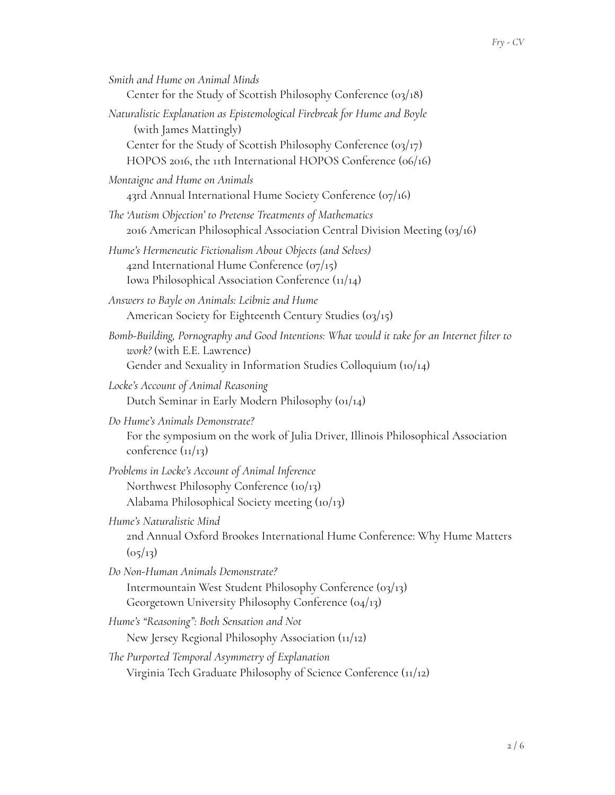| Smith and Hume on Animal Minds                                                                                                                                                               |
|----------------------------------------------------------------------------------------------------------------------------------------------------------------------------------------------|
| Center for the Study of Scottish Philosophy Conference $\left( \frac{03}{18} \right)$                                                                                                        |
| Naturalistic Explanation as Epistemological Firebreak for Hume and Boyle<br>(with James Mattingly)                                                                                           |
| Center for the Study of Scottish Philosophy Conference (03/17)<br>HOPOS 2016, the 11th International HOPOS Conference (06/16)                                                                |
| Montaigne and Hume on Animals<br>43rd Annual International Hume Society Conference (07/16)                                                                                                   |
| The 'Autism Objection' to Pretense Treatments of Mathematics<br>2016 American Philosophical Association Central Division Meeting (03/16)                                                     |
| Hume's Hermeneutic Fictionalism About Objects (and Selves)<br>42nd International Hume Conference ( $o_7$ /15)<br>Iowa Philosophical Association Conference (11/14)                           |
| Answers to Bayle on Animals: Leibniz and Hume<br>American Society for Eighteenth Century Studies (03/15)                                                                                     |
| Bomb-Building, Pornography and Good Intentions: What would it take for an Internet filter to<br>work? (with E.E. Lawrence)<br>Gender and Sexuality in Information Studies Colloquium (10/14) |
|                                                                                                                                                                                              |
| Locke's Account of Animal Reasoning<br>Dutch Seminar in Early Modern Philosophy (01/14)                                                                                                      |
| Do Hume's Animals Demonstrate?<br>For the symposium on the work of Julia Driver, Illinois Philosophical Association<br>conference $(11/13)$                                                  |
| Problems in Locke's Account of Animal Inference<br>Northwest Philosophy Conference (10/13)                                                                                                   |
| Alabama Philosophical Society meeting $(io/13)$<br>Hume's Naturalistic Mind<br>2nd Annual Oxford Brookes International Hume Conference: Why Hume Matters<br>(o <sub>5</sub> /13)             |
| Do Non-Human Animals Demonstrate?                                                                                                                                                            |
| Intermountain West Student Philosophy Conference (03/13)<br>Georgetown University Philosophy Conference (04/13)                                                                              |
| Hume's "Reasoning": Both Sensation and Not                                                                                                                                                   |
| New Jersey Regional Philosophy Association (11/12)                                                                                                                                           |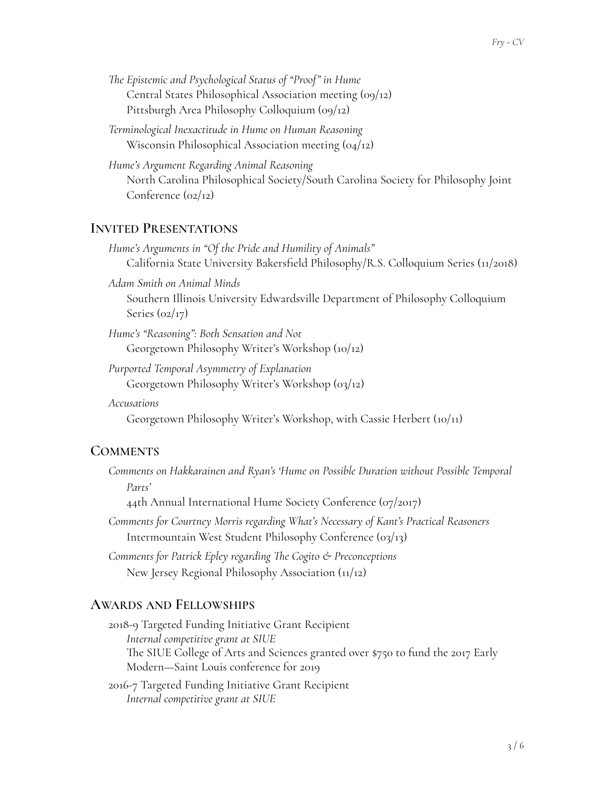- *Te Epistemic and Psychological Status of "Proof" in Hume* Central States Philosophical Association meeting (09/12) Pittsburgh Area Philosophy Colloquium (09/12)
- *Terminological Inexactitude in Hume on Human Reasoning* Wisconsin Philosophical Association meeting (04/12)
- *Hume's Argument Regarding Animal Reasoning* North Carolina Philosophical Society/South Carolina Society for Philosophy Joint Conference (02/12)

# **INVITED PRESENTATIONS**

- *Hume's Arguments in "Of the Pride and Humility of Animals"* California State University Bakersfield Philosophy/R.S. Colloquium Series (11/2018)
- *Adam Smith on Animal Minds* Southern Illinois University Edwardsville Department of Philosophy Colloquium Series  $(oz/17)$
- *Hume's "Reasoning": Both Sensation and Not* Georgetown Philosophy Writer's Workshop (10/12)
- *Purported Temporal Asymmetry of Explanation* Georgetown Philosophy Writer's Workshop (03/12)
- *Accusations*
	- Georgetown Philosophy Writer's Workshop, with Cassie Herbert (10/11)

## **COMMENTS**

*Comments on Hakkarainen and Ryan's 'Hume on Possible Duration without Possible Temporal Parts'*

44th Annual International Hume Society Conference (07/2017)

- *Comments for Courtney Morris regarding What's Necessary of Kant's Practical Reasoners* Intermountain West Student Philosophy Conference (03/13)
- *Comments for Patrick Epley regarding Te Cogito & Preconceptions* New Jersey Regional Philosophy Association (11/12)

## **AWARDS AND FELLOWSHIPS**

- 2018-9 Targeted Funding Initiative Grant Recipient *Internal competitive grant at SIUE* The SIUE College of Arts and Sciences granted over \$750 to fund the 2017 Early Modern—Saint Louis conference for 2019
- 2016-7 Targeted Funding Initiative Grant Recipient *Internal competitive grant at SIUE*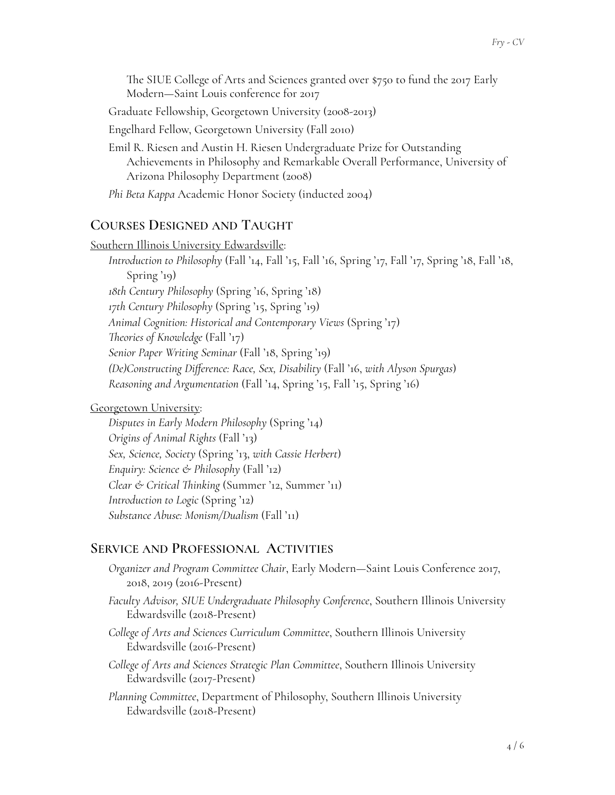The SIUE College of Arts and Sciences granted over \$750 to fund the 2017 Early Modern—Saint Louis conference for 2017 Graduate Fellowship, Georgetown University (2008-2013) Engelhard Fellow, Georgetown University (Fall 2010) Emil R. Riesen and Austin H. Riesen Undergraduate Prize for Outstanding

Achievements in Philosophy and Remarkable Overall Performance, University of Arizona Philosophy Department (2008)

*Phi Beta Kappa* Academic Honor Society (inducted 2004)

# **COURSES DESIGNED AND TAUGHT**

Southern Illinois University Edwardsville: *Introduction to Philosophy* (Fall '14, Fall '15, Fall '16, Spring '17, Fall '17, Spring '18, Fall '18, Spring '19) *18th Century Philosophy* (Spring '16, Spring '18) *17th Century Philosophy* (Spring '15, Spring '19) *Animal Cognition: Historical and Contemporary Views* (Spring '17) *Teories of Knowledge* (Fall '17) *Senior Paper Writing Seminar* (Fall '18, Spring '19) *(De)Constructing Difference: Race, Sex, Disability* (Fall '16, *with Alyson Spurgas*) *Reasoning and Argumentation* (Fall '14, Spring '15, Fall '15, Spring '16)

Georgetown University:

*Disputes in Early Modern Philosophy* (Spring '14) *Origins of Animal Rights* (Fall '13) *Sex, Science, Society* (Spring '13, *with Cassie Herbert*) *Enquiry: Science & Philosophy* (Fall '12) *Clear & Critical Tinking* (Summer '12, Summer '11) *Introduction to Logic* (Spring '12) *Substance Abuse: Monism/Dualism* (Fall '11)

# **SERVICE AND PROFESSIONAL ACTIVITIES**

*Organizer and Program Committee Chair*, Early Modern—Saint Louis Conference 2017, 2018, 2019 (2016-Present)

*Faculty Advisor, SIUE Undergraduate Philosophy Conference*, Southern Illinois University Edwardsville (2018-Present)

*College of Arts and Sciences Curriculum Committee*, Southern Illinois University Edwardsville (2016-Present)

*College of Arts and Sciences Strategic Plan Committee*, Southern Illinois University Edwardsville (2017-Present)

*Planning Committee*, Department of Philosophy, Southern Illinois University Edwardsville (2018-Present)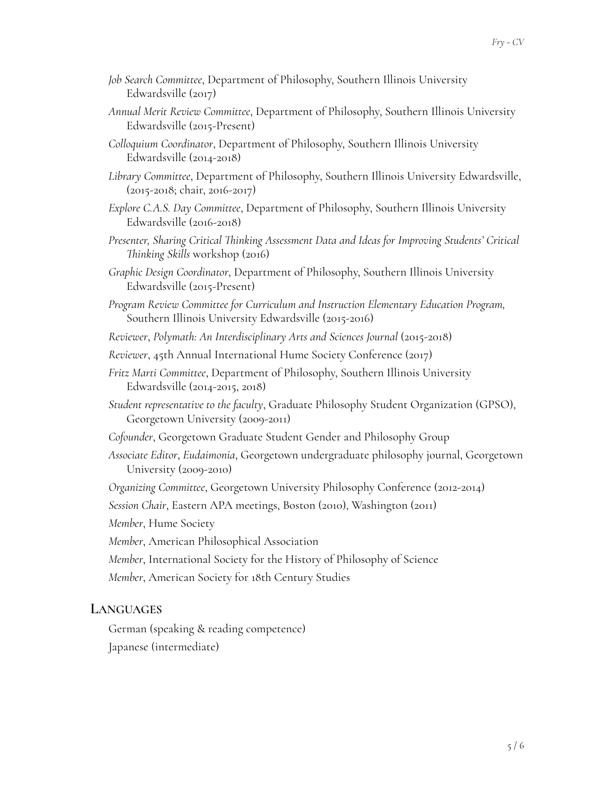- *Job Search Committee*, Department of Philosophy, Southern Illinois University Edwardsville (2017)
- *Annual Merit Review Committee*, Department of Philosophy, Southern Illinois University Edwardsville (2015-Present)
- *Colloquium Coordinator*, Department of Philosophy, Southern Illinois University Edwardsville (2014-2018)
- *Library Committee*, Department of Philosophy, Southern Illinois University Edwardsville, (2015-2018; chair, 2016-2017)
- *Explore C.A.S. Day Committee*, Department of Philosophy, Southern Illinois University Edwardsville (2016-2018)
- *Presenter, Sharing Critical Tinking Assessment Data and Ideas for Improving Students' Critical Tinking Skills* workshop (2016)
- *Graphic Design Coordinator*, Department of Philosophy, Southern Illinois University Edwardsville (2015-Present)
- *Program Review Committee for Curriculum and Instruction Elementary Education Program,* Southern Illinois University Edwardsville (2015-2016)
- *Reviewer*, *Polymath: An Interdisciplinary Arts and Sciences Journal* (2015-2018)
- *Reviewer*, 45th Annual International Hume Society Conference (2017)
- *Fritz Marti Committee*, Department of Philosophy, Southern Illinois University Edwardsville (2014-2015, 2018)
- *Student representative to the faculty*, Graduate Philosophy Student Organization (GPSO), Georgetown University (2009-2011)
- *Cofounder*, Georgetown Graduate Student Gender and Philosophy Group
- *Associate Editor*, *Eudaimonia*, Georgetown undergraduate philosophy journal, Georgetown University (2009-2010)
- *Organizing Committee*, Georgetown University Philosophy Conference (2012-2014)
- *Session Chair*, Eastern APA meetings, Boston (2010), Washington (2011)
- *Member*, Hume Society
- *Member*, American Philosophical Association
- *Member*, International Society for the History of Philosophy of Science
- *Member*, American Society for 18th Century Studies

#### **LANGUAGES**

German (speaking & reading competence) Japanese (intermediate)